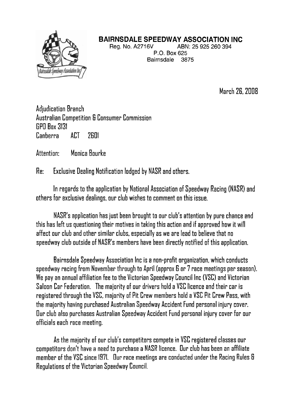

## **BAIRNSDALE SPEEDWAY ASSOCIATION INC**

Reg. No. A2716V ABN: 25 925 260 394 P.O. Box 625 Bairnsdale 3875

March 26,2008

Adjudication Branch Australian Competition 6 Consumer Commission GPO Box 5151 Canberra ACT 2601

Attention: Monica Bourke

Re: Exclusive Dealing Notification lodged by NASR and others.

In regards to the application by National Association of Speedway Racing (NASR) and others for exclusive dealings, our club wishes to comment on this issue.

NASR's application has just been brought to our club's attention by pure chance and this has left us questioning their motives in taking this action and if approved how it will affect our club and other similar clubs, especially as we are lead to believe that no speedway club outside of NASR's members have been directly notified of this application.

Bairnsdale Speedway Association lnc is a nun-profit organization, which conducts speedway racing from November through to April (approx 6 or 7 race meetings per season). We pay an annual affiliation fee to the Victorian Speedway Council lnc (VSC) and Victorian Saloon Car Federation. The majority of our drivers hold a VSC licence and their car is registered through the VSC, majority of Pit Crew members hold a VSC Pit Crew Pass, with the majority having purchased Australian Speedway Accident Fund personal injury cover. Our club also purchases Australian Speedway Accident Fund personal injury cover for our officials each race meeting.

As the majority of our club's competitors compete in VSC registered classes our competitors don't have a need to purchase a NASR licence. Our club has been an affiliate member of the VSC since 1971. Our race meetings are conducted under the Racing Rules 6 Regulations of the Victorian Speedway Council.